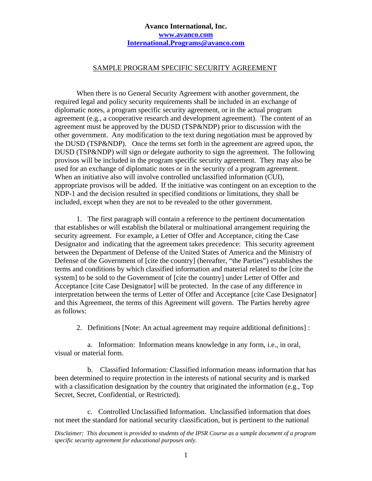## **Avanco International, Inc. www.avanco.com International.Programs@avanco.com**

## SAMPLE PROGRAM SPECIFIC SECURITY AGREEMENT

When there is no General Security Agreement with another government, the required legal and policy security requirements shall be included in an exchange of diplomatic notes, a program specific security agreement, or in the actual program agreement (e.g., a cooperative research and development agreement). The content of an agreement must be approved by the DUSD (TSP&NDP) prior to discussion with the other government. Any modification to the text during negotiation must be approved by the DUSD (TSP&NDP). Once the terms set forth in the agreement are agreed upon, the DUSD (TSP&NDP) will sign or delegate authority to sign the agreement. The following provisos will be included in the program specific security agreement. They may also be used for an exchange of diplomatic notes or in the security of a program agreement. When an initiative also will involve controlled unclassified information (CUI), appropriate provisos will be added. If the initiative was contingent on an exception to the NDP-1 and the decision resulted in specified conditions or limitations, they shall be included, except when they are not to be revealed to the other government.

1. The first paragraph will contain a reference to the pertinent documentation that establishes or will establish the bilateral or multinational arrangement requiring the security agreement. For example, a Letter of Offer and Acceptance, citing the Case Designator and indicating that the agreement takes precedence: This security agreement between the Department of Defense of the United States of America and the Ministry of Defense of the Government of [cite the country] (hereafter, "the Parties") establishes the terms and conditions by which classified information and material related to the [cite the system] to be sold to the Government of [cite the country] under Letter of Offer and Acceptance [cite Case Designator] will be protected. In the case of any difference in interpretation between the terms of Letter of Offer and Acceptance [cite Case Designator] and this Agreement, the terms of this Agreement will govern. The Parties hereby agree as follows:

2. Definitions [Note: An actual agreement may require additional definitions] :

a. Information: Information means knowledge in any form, i.e., in oral, visual or material form.

b. Classified Information: Classified information means information that has been determined to require protection in the interests of national security and is marked with a classification designation by the country that originated the information (e.g., Top Secret, Secret, Confidential, or Restricted).

c. Controlled Unclassified Information. Unclassified information that does not meet the standard for national security classification, but is pertinent to the national

*Disclaimer: This document is provided to students of the IPSR Course as a sample document of a program specific security agreement for educational purposes only.*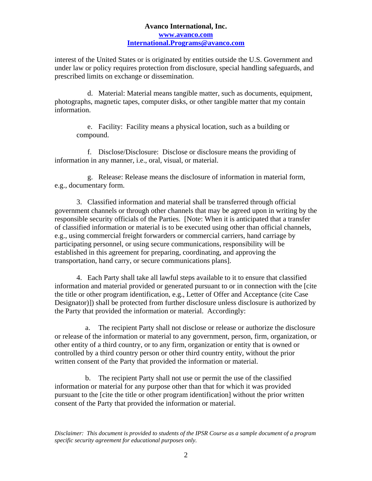## **Avanco International, Inc. www.avanco.com International.Programs@avanco.com**

interest of the United States or is originated by entities outside the U.S. Government and under law or policy requires protection from disclosure, special handling safeguards, and prescribed limits on exchange or dissemination.

d. Material: Material means tangible matter, such as documents, equipment, photographs, magnetic tapes, computer disks, or other tangible matter that my contain information.

e. Facility: Facility means a physical location, such as a building or compound.

f. Disclose/Disclosure: Disclose or disclosure means the providing of information in any manner, i.e., oral, visual, or material.

g. Release: Release means the disclosure of information in material form, e.g., documentary form.

3. Classified information and material shall be transferred through official government channels or through other channels that may be agreed upon in writing by the responsible security officials of the Parties. [Note: When it is anticipated that a transfer of classified information or material is to be executed using other than official channels, e.g., using commercial freight forwarders or commercial carriers, hand carriage by participating personnel, or using secure communications, responsibility will be established in this agreement for preparing, coordinating, and approving the transportation, hand carry, or secure communications plans].

4. Each Party shall take all lawful steps available to it to ensure that classified information and material provided or generated pursuant to or in connection with the [cite the title or other program identification, e.g., Letter of Offer and Acceptance (cite Case Designator)]) shall be protected from further disclosure unless disclosure is authorized by the Party that provided the information or material. Accordingly:

a. The recipient Party shall not disclose or release or authorize the disclosure or release of the information or material to any government, person, firm, organization, or other entity of a third country, or to any firm, organization or entity that is owned or controlled by a third country person or other third country entity, without the prior written consent of the Party that provided the information or material.

b. The recipient Party shall not use or permit the use of the classified information or material for any purpose other than that for which it was provided pursuant to the [cite the title or other program identification] without the prior written consent of the Party that provided the information or material.

*Disclaimer: This document is provided to students of the IPSR Course as a sample document of a program specific security agreement for educational purposes only.*